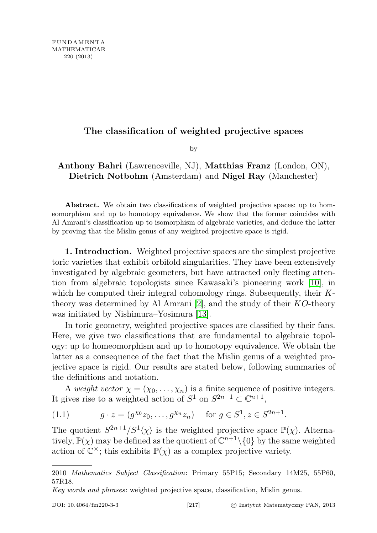## The classification of weighted projective spaces

by

## Anthony Bahri (Lawrenceville, NJ), Matthias Franz (London, ON), Dietrich Notbohm (Amsterdam) and Nigel Ray (Manchester)

Abstract. We obtain two classifications of weighted projective spaces: up to homeomorphism and up to homotopy equivalence. We show that the former coincides with Al Amrani's classification up to isomorphism of algebraic varieties, and deduce the latter by proving that the Mislin genus of any weighted projective space is rigid.

1. Introduction. Weighted projective spaces are the simplest projective toric varieties that exhibit orbifold singularities. They have been extensively investigated by algebraic geometers, but have attracted only fleeting attention from algebraic topologists since Kawasaki's pioneering work [\[10\]](#page-9-0), in which he computed their integral cohomology rings. Subsequently, their K-theory was determined by Al Amrani [\[2\]](#page-9-1), and the study of their  $KO$ -theory was initiated by Nishimura–Yosimura [\[13\]](#page-9-2).

In toric geometry, weighted projective spaces are classified by their fans. Here, we give two classifications that are fundamental to algebraic topology: up to homeomorphism and up to homotopy equivalence. We obtain the latter as a consequence of the fact that the Mislin genus of a weighted projective space is rigid. Our results are stated below, following summaries of the definitions and notation.

A weight vector  $\chi = (\chi_0, \ldots, \chi_n)$  is a finite sequence of positive integers. It gives rise to a weighted action of  $S^1$  on  $S^{2n+1} \subset \mathbb{C}^{n+1}$ ,

(1.1) 
$$
g \cdot z = (g^{\chi_0} z_0, \dots, g^{\chi_n} z_n) \quad \text{for } g \in S^1, z \in S^{2n+1}.
$$

The quotient  $S^{2n+1}/S^1(\chi)$  is the weighted projective space  $\mathbb{P}(\chi)$ . Alternatively,  $\mathbb{P}(\chi)$  may be defined as the quotient of  $\mathbb{C}^{n+1}\setminus\{0\}$  by the same weighted action of  $\mathbb{C}^{\times}$ ; this exhibits  $\mathbb{P}(\chi)$  as a complex projective variety.

<sup>2010</sup> Mathematics Subject Classification: Primary 55P15; Secondary 14M25, 55P60, 57R18.

Key words and phrases: weighted projective space, classification, Mislin genus.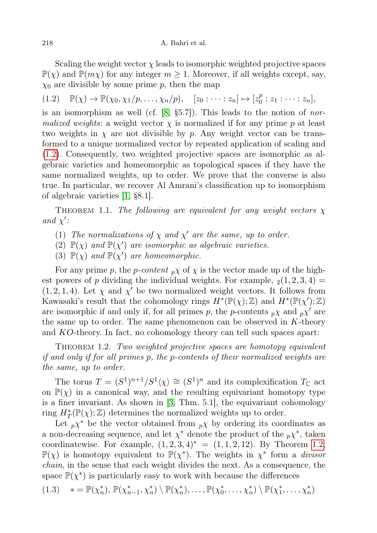Scaling the weight vector  $\chi$  leads to isomorphic weighted projective spaces  $\mathbb{P}(\chi)$  and  $\mathbb{P}(m\chi)$  for any integer  $m \geq 1$ . Moreover, if all weights except, say,  $\chi_0$  are divisible by some prime p, then the map

<span id="page-1-0"></span> $(1.2) \quad \mathbb{P}(\chi) \to \mathbb{P}(\chi_0, \chi_1/p, \ldots, \chi_n/p), \quad [z_0 : \cdots : z_n] \mapsto [z_0^p]$  $x_0^p : z_1 : \cdots : z_n],$ 

is an isomorphism as well (cf. [\[8,](#page-9-3) §5.7]). This leads to the notion of normalized weights: a weight vector  $\chi$  is normalized if for any prime p at least two weights in  $\chi$  are not divisible by p. Any weight vector can be transformed to a unique normalized vector by repeated application of scaling and [\(1.2\)](#page-1-0). Consequently, two weighted projective spaces are isomorphic as algebraic varieties and homeomorphic as topological spaces if they have the same normalized weights, up to order. We prove that the converse is also true. In particular, we recover Al Amrani's classification up to isomorphism of algebraic varieties [\[1,](#page-9-4) §8.1].

<span id="page-1-2"></span>THEOREM 1.1. The following are equivalent for any weight vectors  $\chi$ and  $\chi'$ :

- <span id="page-1-4"></span>(1) The normalizations of  $\chi$  and  $\chi'$  are the same, up to order.
- (2)  $\mathbb{P}(\chi)$  and  $\mathbb{P}(\chi')$  are isomorphic as algebraic varieties.
- <span id="page-1-3"></span>(3)  $\mathbb{P}(\chi)$  and  $\mathbb{P}(\chi')$  are homeomorphic.

For any prime p, the p-content  $\partial \chi$  of  $\chi$  is the vector made up of the highest powers of p dividing the individual weights. For example,  $_2(1, 2, 3, 4)$  =  $(1, 2, 1, 4)$ . Let  $\chi$  and  $\chi'$  be two normalized weight vectors. It follows from Kawasaki's result that the cohomology rings  $H^*(\mathbb{P}(\chi);\mathbb{Z})$  and  $H^*(\mathbb{P}(\chi');\mathbb{Z})$ are isomorphic if and only if, for all primes p, the p-contents  $p\chi$  and  $p\chi'$  are the same up to order. The same phenomenon can be observed in  $K$ -theory and KO-theory. In fact, no cohomology theory can tell such spaces apart:

<span id="page-1-1"></span>THEOREM 1.2. Two weighted projective spaces are homotopy equivalent if and only if for all primes p, the p-contents of their normalized weights are the same, up to order.

The torus  $T = (S^1)^{n+1}/S^1\langle \chi \rangle \cong (S^1)^n$  and its complexification  $T_{\mathbb{C}}$  act on  $\mathbb{P}(\chi)$  in a canonical way, and the resulting equivariant homotopy type is a finer invariant. As shown in [\[3,](#page-9-5) Thm. 5.1], the equivariant cohomology ring  $H^*_{T}(\mathbb{P}(\chi); \mathbb{Z})$  determines the normalized weights up to order.

Let  $p\chi^*$  be the vector obtained from  $p\chi$  by ordering its coordinates as a non-decreasing sequence, and let  $\chi^*$  denote the product of the  $p\chi^*$ , taken coordinatewise. For example,  $(1, 2, 3, 4)^* = (1, 1, 2, 12)$ . By Theorem [1.2,](#page-1-1)  $\mathbb{P}(\chi)$  is homotopy equivalent to  $\mathbb{P}(\chi^*)$ . The weights in  $\chi^*$  form a *divisor* chain, in the sense that each weight divides the next. As a consequence, the space  $\mathbb{P}(\chi^*)$  is particularly easy to work with because the differences

$$
(1.3) \quad * = \mathbb{P}(\chi_n^*), \, \mathbb{P}(\chi_{n-1}^*, \chi_n^*) \setminus \mathbb{P}(\chi_n^*), \dots, \mathbb{P}(\chi_0^*, \dots, \chi_n^*) \setminus \mathbb{P}(\chi_1^*, \dots, \chi_n^*)
$$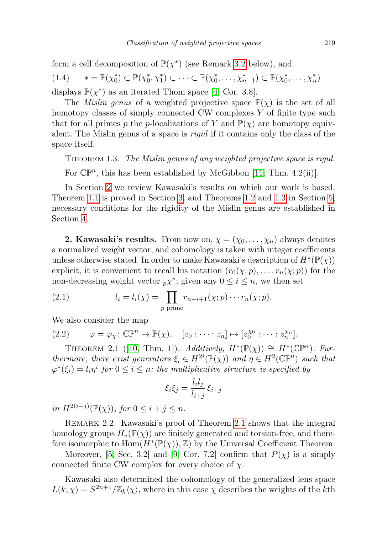form a cell decomposition of  $\mathbb{P}(\chi^*)$  (see Remark [3.2](#page-3-0) below), and

(1.4) 
$$
* = \mathbb{P}(\chi_0^*) \subset \mathbb{P}(\chi_0^*, \chi_1^*) \subset \cdots \subset \mathbb{P}(\chi_0^*, \ldots, \chi_{n-1}^*) \subset \mathbb{P}(\chi_0^*, \ldots, \chi_n^*)
$$
 displays  $\mathbb{P}(\chi^*)$  as an iterated Thom space [4, Cor. 3.8].

The *Mislin genus* of a weighted projective space  $\mathbb{P}(\chi)$  is the set of all homotopy classes of simply connected CW complexes Y of finite type such that for all primes p the p-localizations of Y and  $\mathbb{P}(\chi)$  are homotopy equivalent. The Mislin genus of a space is rigid if it contains only the class of the space itself.

<span id="page-2-1"></span>THEOREM 1.3. The Mislin genus of any weighted projective space is rigid.

For  $\mathbb{CP}^n$ , this has been established by McGibbon [\[11,](#page-9-7) Thm. 4.2(ii)].

In Section [2](#page-2-0) we review Kawasaki's results on which our work is based. Theorem [1.1](#page-1-2) is proved in Section [3,](#page-3-1) and Theorems [1.2](#page-1-1) and [1.3](#page-2-1) in Section [5;](#page-6-0) necessary conditions for the rigidity of the Mislin genus are established in Section [4.](#page-4-0)

<span id="page-2-0"></span>**2. Kawasaki's results.** From now on,  $\chi = (\chi_0, \ldots, \chi_n)$  always denotes a normalized weight vector, and cohomology is taken with integer coefficients unless otherwise stated. In order to make Kawasaki's description of  $H^*(\mathbb{P}(\chi))$ explicit, it is convenient to recall his notation  $(r_0(\chi; p), \ldots, r_n(\chi; p))$  for the non-decreasing weight vector  $p\chi^*$ ; given any  $0 \leq i \leq n$ , we then set

(2.1) 
$$
l_i = l_i(\chi) = \prod_{p \text{ prime}} r_{n-i+1}(\chi; p) \cdots r_n(\chi; p).
$$

We also consider the map

<span id="page-2-4"></span>(2.2) 
$$
\varphi = \varphi_{\chi} \colon \mathbb{CP}^n \to \mathbb{P}(\chi), \quad [z_0 : \cdots : z_n] \mapsto [z_0^{\chi_0} : \cdots : z_n^{\chi_n}].
$$

<span id="page-2-2"></span>THEOREM 2.1 ([\[10,](#page-9-0) Thm. 1]). Additively,  $H^*(\mathbb{P}(\chi)) \cong H^*(\mathbb{CP}^n)$ . Furthermore, there exist generators  $\xi_i \in H^{2i}(\mathbb{P}(\chi))$  and  $\eta \in H^2(\mathbb{C}\mathbb{P}^n)$  such that  $\varphi^*(\xi_i) = l_i \eta^i$  for  $0 \leq i \leq n$ ; the multiplicative structure is specified by

$$
\xi_i \xi_j = \frac{l_i l_j}{l_{i+j}} \xi_{i+j}
$$

in  $H^{2(i+j)}(\mathbb{P}(\chi))$ , for  $0 \leq i + j \leq n$ .

<span id="page-2-3"></span>REMARK 2.2. Kawasaki's proof of Theorem [2.1](#page-2-2) shows that the integral homology groups  $H_*(\mathbb{P}(\chi))$  are finitely generated and torsion-free, and therefore isomorphic to  $\text{Hom}(H^*(\mathbb{P}(\chi)), \mathbb{Z})$  by the Universal Coefficient Theorem.

Moreover, [\[5,](#page-9-8) Sec. 3.2] and [\[9,](#page-9-9) Cor. 7.2] confirm that  $P(\chi)$  is a simply connected finite CW complex for every choice of  $\chi$ .

Kawasaki also determined the cohomology of the generalized lens space  $L(k; \chi) = S^{2n+1}/\mathbb{Z}_k\langle \chi \rangle$ , where in this case  $\chi$  describes the weights of the kth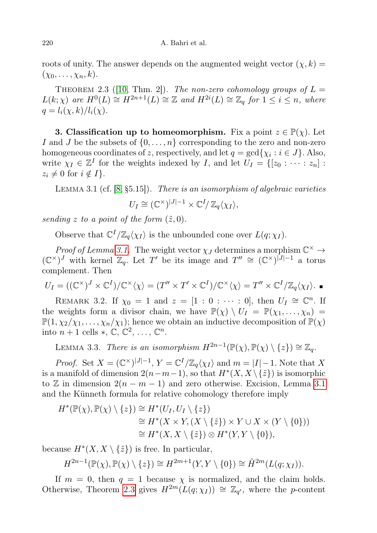roots of unity. The answer depends on the augmented weight vector  $(\chi, k)$  =  $(\chi_0, \ldots, \chi_n, k).$ 

<span id="page-3-3"></span>THEOREM 2.3 ([\[10,](#page-9-0) Thm. 2]). The non-zero cohomology groups of  $L =$  $L(k; \chi)$  are  $H^0(L) \cong H^{2n+1}(L) \cong \mathbb{Z}$  and  $H^{2i}(L) \cong \mathbb{Z}_q$  for  $1 \leq i \leq n$ , where  $q = l_i(\chi, k)/l_i(\chi)$ .

<span id="page-3-1"></span>**3. Classification up to homeomorphism.** Fix a point  $z \in \mathbb{P}(\chi)$ . Let I and J be the subsets of  $\{0, \ldots, n\}$  corresponding to the zero and non-zero homogeneous coordinates of z, respectively, and let  $q = \gcd\{\chi_i : i \in J\}$ . Also, write  $\chi_I \in \mathbb{Z}^I$  for the weights indexed by I, and let  $U_I = \{[z_0 : \cdots : z_n] :$  $z_i \neq 0$  for  $i \notin I$ .

<span id="page-3-2"></span>LEMMA 3.1 (cf.  $[8, §5.15]$  $[8, §5.15]$ ). There is an isomorphism of algebraic varieties

$$
U_I \cong (\mathbb{C}^\times)^{|J|-1} \times \mathbb{C}^I/\,\mathbb{Z}_q\langle \chi_I \rangle,
$$

sending z to a point of the form  $(\tilde{z}, 0)$ .

Observe that  $\mathbb{C}^{I}/\mathbb{Z}_{q}\langle \chi_{I} \rangle$  is the unbounded cone over  $L(q;\chi_{I})$ .

Proof of Lemma [3.1.](#page-3-2) The weight vector  $\chi_J$  determines a morphism  $\mathbb{C}^{\times} \to$  $({\mathbb C}^\times)^J$  with kernel  $\mathbb{Z}_q$ . Let T' be its image and  $T'' \cong ({\mathbb C}^\times)^{|J|-1}$  a torus complement. Then

$$
U_I = ((\mathbb{C}^\times)^J \times \mathbb{C}^I)/\mathbb{C}^\times \langle \chi \rangle = (T'' \times T' \times \mathbb{C}^I)/\mathbb{C}^\times \langle \chi \rangle = T'' \times \mathbb{C}^I/\mathbb{Z}_q \langle \chi_I \rangle.
$$

<span id="page-3-0"></span>REMARK 3.2. If  $\chi_0 = 1$  and  $z = [1 : 0 : \cdots : 0]$ , then  $U_I \cong \mathbb{C}^n$ . If the weights form a divisor chain, we have  $\mathbb{P}(\chi) \setminus U_I = \mathbb{P}(\chi_1, \ldots, \chi_n) =$  $\mathbb{P}(1,\chi_2/\chi_1,\ldots,\chi_n/\chi_1)$ ; hence we obtain an inductive decomposition of  $\mathbb{P}(\chi)$ into  $n+1$  cells  $\ast$ ,  $\mathbb{C}, \mathbb{C}^2, \ldots, \mathbb{C}^n$ .

<span id="page-3-4"></span>LEMMA 3.3. There is an isomorphism  $H^{2n-1}(\mathbb{P}(\chi), \mathbb{P}(\chi) \setminus \{z\}) \cong \mathbb{Z}_q$ .

*Proof.* Set  $X = (\mathbb{C}^{\times})^{|J|-1}$ ,  $Y = \mathbb{C}^{I}/\mathbb{Z}_{q}\langle \chi_{I} \rangle$  and  $m = |I|-1$ . Note that X is a manifold of dimension  $2(n-m-1)$ , so that  $H^*(X, X \setminus {\tilde{z}})$  is isomorphic to Z in dimension  $2(n-m-1)$  and zero otherwise. Excision, Lemma [3.1](#page-3-2) and the Künneth formula for relative cohomology therefore imply

$$
H^*(\mathbb{P}(\chi), \mathbb{P}(\chi) \setminus \{z\}) \cong H^*(U_I, U_I \setminus \{z\})
$$
  
\n
$$
\cong H^*(X \times Y, (X \setminus \{\tilde{z}\}) \times Y \cup X \times (Y \setminus \{0\}))
$$
  
\n
$$
\cong H^*(X, X \setminus \{\tilde{z}\}) \otimes H^*(Y, Y \setminus \{0\}),
$$

because  $H^*(X, X \setminus {\tilde{z}})$  is free. In particular,

$$
H^{2n-1}(\mathbb{P}(\chi), \mathbb{P}(\chi) \setminus \{z\}) \cong H^{2m+1}(Y, Y \setminus \{0\}) \cong \tilde{H}^{2m}(L(q; \chi_I)).
$$

If  $m = 0$ , then  $q = 1$  because  $\chi$  is normalized, and the claim holds. Otherwise, Theorem [2.3](#page-3-3) gives  $H^{2m}(L(q;\chi_I)) \cong \mathbb{Z}_{q'}$ , where the p-content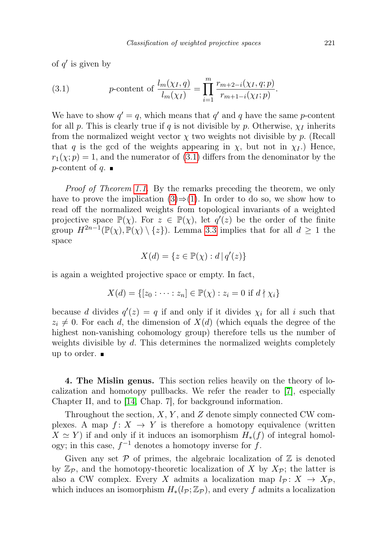of  $q'$  is given by

<span id="page-4-1"></span>(3.1) 
$$
p\text{-content of } \frac{l_m(\chi_I, q)}{l_m(\chi_I)} = \prod_{i=1}^m \frac{r_{m+2-i}(\chi_I, q; p)}{r_{m+1-i}(\chi_I; p)}.
$$

We have to show  $q' = q$ , which means that  $q'$  and q have the same p-content for all p. This is clearly true if q is not divisible by p. Otherwise,  $\chi_I$  inherits from the normalized weight vector  $\chi$  two weights not divisible by p. (Recall that q is the gcd of the weights appearing in  $\chi$ , but not in  $\chi_I$ .) Hence,  $r_1(\chi; p) = 1$ , and the numerator of [\(3.1\)](#page-4-1) differs from the denominator by the  $p$ -content of  $q$ .

Proof of Theorem [1.1.](#page-1-2) By the remarks preceding the theorem, we only have to prove the implication  $(3) \Rightarrow (1)$  $(3) \Rightarrow (1)$  $(3) \Rightarrow (1)$ . In order to do so, we show how to read off the normalized weights from topological invariants of a weighted projective space  $\mathbb{P}(\chi)$ . For  $z \in \mathbb{P}(\chi)$ , let  $q'(z)$  be the order of the finite group  $H^{2n-1}(\mathbb{P}(\chi), \mathbb{P}(\chi) \setminus \{z\})$ . Lemma [3.3](#page-3-4) implies that for all  $d \geq 1$  the space

$$
X(d) = \{ z \in \mathbb{P}(\chi) : d \, | \, q'(z) \}
$$

is again a weighted projective space or empty. In fact,

$$
X(d) = \{ [z_0 : \dots : z_n] \in \mathbb{P}(\chi) : z_i = 0 \text{ if } d \nmid \chi_i \}
$$

because d divides  $q'(z) = q$  if and only if it divides  $\chi_i$  for all i such that  $z_i \neq 0$ . For each d, the dimension of  $X(d)$  (which equals the degree of the highest non-vanishing cohomology group) therefore tells us the number of weights divisible by d. This determines the normalized weights completely up to order.

<span id="page-4-0"></span>4. The Mislin genus. This section relies heavily on the theory of localization and homotopy pullbacks. We refer the reader to [\[7\]](#page-9-10), especially Chapter II, and to [\[14,](#page-9-11) Chap. 7], for background information.

Throughout the section,  $X, Y$ , and  $Z$  denote simply connected CW complexes. A map  $f: X \to Y$  is therefore a homotopy equivalence (written  $X \simeq Y$ ) if and only if it induces an isomorphism  $H_*(f)$  of integral homology; in this case,  $f^{-1}$  denotes a homotopy inverse for f.

Given any set  $P$  of primes, the algebraic localization of  $\mathbb Z$  is denoted by  $\mathbb{Z}_p$ , and the homotopy-theoretic localization of X by  $X_p$ ; the latter is also a CW complex. Every X admits a localization map  $l_{\mathcal{P}}: X \to X_{\mathcal{P}}$ , which induces an isomorphism  $H_*(l_P; \mathbb{Z}_p)$ , and every f admits a localization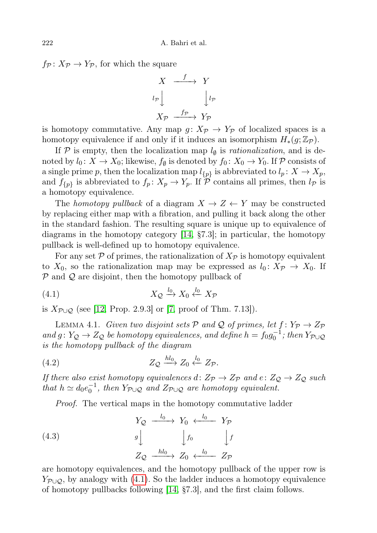$f_{\mathcal{P}}: X_{\mathcal{P}} \to Y_{\mathcal{P}}$ , for which the square



is homotopy commutative. Any map  $g: X_{\mathcal{P}} \to Y_{\mathcal{P}}$  of localized spaces is a homotopy equivalence if and only if it induces an isomorphism  $H_*(g; \mathbb{Z}_p)$ .

If  $P$  is empty, then the localization map  $l_{\emptyset}$  is *rationalization*, and is denoted by  $l_0: X \to X_0$ ; likewise,  $f_{\emptyset}$  is denoted by  $f_0: X_0 \to Y_0$ . If  $P$  consists of a single prime p, then the localization map  $l_{\{p\}}$  is abbreviated to  $l_p \colon X \to X_p$ , and  $f_{\{p\}}$  is abbreviated to  $f_p: X_p \to Y_p$ . If P contains all primes, then  $l_p$  is a homotopy equivalence.

The homotopy pullback of a diagram  $X \to Z \leftarrow Y$  may be constructed by replacing either map with a fibration, and pulling it back along the other in the standard fashion. The resulting square is unique up to equivalence of diagrams in the homotopy category [\[14,](#page-9-11) §7.3]; in particular, the homotopy pullback is well-defined up to homotopy equivalence.

For any set  $\mathcal P$  of primes, the rationalization of  $X_{\mathcal P}$  is homotopy equivalent to  $X_0$ , so the rationalization map may be expressed as  $l_0: X_{\mathcal{P}} \to X_0$ . If  $P$  and  $Q$  are disjoint, then the homotopy pullback of

<span id="page-5-0"></span>
$$
(4.1) \t\t X_Q \xrightarrow{l_0} X_0 \xleftarrow{l_0} X_{\mathcal{P}}
$$

is  $X_{\mathcal{P}\cup\mathcal{Q}}$  (see [\[12,](#page-9-12) Prop. 2.9.3] or [\[7,](#page-9-10) proof of Thm. 7.13]).

<span id="page-5-2"></span>LEMMA 4.1. Given two disjoint sets  $P$  and  $Q$  of primes, let  $f: Y_{\mathcal{P}} \to Z_{\mathcal{P}}$ and  $g: Y_{\mathcal{Q}} \to Z_{\mathcal{Q}}$  be homotopy equivalences, and define  $h = f_0 g_0^{-1}$ ; then  $Y_{\mathcal{P} \cup \mathcal{Q}}$ is the homotopy pullback of the diagram

$$
(4.2) \t\t Z_{\mathcal{Q}} \xrightarrow{hl_0} Z_0 \xleftarrow{l_0} Z_{\mathcal{P}}.
$$

If there also exist homotopy equivalences d:  $Z_{\mathcal{P}} \to Z_{\mathcal{P}}$  and  $e: Z_{\mathcal{Q}} \to Z_{\mathcal{Q}}$  such that  $h \simeq d_0 e_0^{-1}$ , then  $Y_{\mathcal{P} \cup \mathcal{Q}}$  and  $Z_{\mathcal{P} \cup \mathcal{Q}}$  are homotopy equivalent.

<span id="page-5-1"></span>Proof. The vertical maps in the homotopy commutative ladder

(4.3) 
$$
Y_{\mathcal{Q}} \xrightarrow{l_0} Y_0 \xleftarrow{l_0} Y_{\mathcal{P}}
$$

$$
g \downarrow \qquad \qquad f_0 \qquad \qquad \downarrow f
$$

$$
Z_{\mathcal{Q}} \xrightarrow{hl_0} Z_0 \xleftarrow{l_0} Z_{\mathcal{P}}
$$

are homotopy equivalences, and the homotopy pullback of the upper row is  $Y_{\mathcal{P}\cup\mathcal{Q}}$ , by analogy with [\(4.1\)](#page-5-0). So the ladder induces a homotopy equivalence of homotopy pullbacks following [\[14,](#page-9-11) §7.3], and the first claim follows.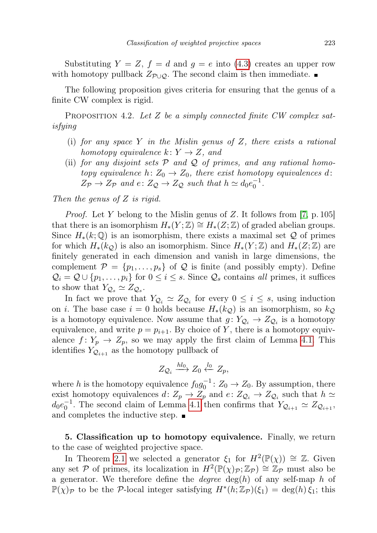Substituting  $Y = Z$ ,  $f = d$  and  $g = e$  into [\(4.3\)](#page-5-1) creates an upper row with homotopy pullback  $Z_{\mathcal{P}\cup\mathcal{Q}}$ . The second claim is then immediate.  $\blacksquare$ 

The following proposition gives criteria for ensuring that the genus of a finite CW complex is rigid.

<span id="page-6-1"></span>PROPOSITION 4.2. Let Z be a simply connected finite  $CW$  complex satisfying

- (i) for any space Y in the Mislin genus of Z, there exists a rational homotopy equivalence  $k: Y \to Z$ , and
- (ii) for any disjoint sets  $P$  and  $Q$  of primes, and any rational homotopy equivalence  $h: Z_0 \to Z_0$ , there exist homotopy equivalences d:  $Z_{\mathcal{P}} \rightarrow Z_{\mathcal{P}}$  and  $e \colon Z_{\mathcal{Q}} \rightarrow Z_{\mathcal{Q}}$  such that  $h \simeq d_0 e_0^{-1}$ .

Then the genus of Z is rigid.

*Proof.* Let Y belong to the Mislin genus of Z. It follows from [\[7,](#page-9-10) p. 105] that there is an isomorphism  $H_*(Y;\mathbb{Z}) \cong H_*(Z;\mathbb{Z})$  of graded abelian groups. Since  $H_*(k; \mathbb{Q})$  is an isomorphism, there exists a maximal set  $\mathcal Q$  of primes for which  $H_*(k_{\mathcal{Q}})$  is also an isomorphism. Since  $H_*(Y;\mathbb{Z})$  and  $H_*(Z;\mathbb{Z})$  are finitely generated in each dimension and vanish in large dimensions, the complement  $\mathcal{P} = \{p_1, \ldots, p_s\}$  of  $\mathcal Q$  is finite (and possibly empty). Define  $\mathcal{Q}_i = \mathcal{Q} \cup \{p_1, \ldots, p_i\}$  for  $0 \leq i \leq s$ . Since  $\mathcal{Q}_s$  contains all primes, it suffices to show that  $Y_{\mathcal{Q}_s} \simeq Z_{\mathcal{Q}_s}$ .

In fact we prove that  $Y_{\mathcal{Q}_i} \simeq Z_{\mathcal{Q}_i}$  for every  $0 \leq i \leq s$ , using induction on *i*. The base case  $i = 0$  holds because  $H_*(k_Q)$  is an isomorphism, so  $k_Q$ is a homotopy equivalence. Now assume that  $g: Y_{\mathcal{Q}_i} \to Z_{\mathcal{Q}_i}$  is a homotopy equivalence, and write  $p = p_{i+1}$ . By choice of Y, there is a homotopy equivalence  $f: Y_p \to Z_p$ , so we may apply the first claim of Lemma [4.1.](#page-5-2) This identifies  $Y_{\mathcal{Q}_{i+1}}$  as the homotopy pullback of

$$
Z_{\mathcal{Q}_i} \xrightarrow{hl_0} Z_0 \xleftarrow{l_0} Z_p,
$$

where h is the homotopy equivalence  $f_0g_0^{-1}$ :  $Z_0 \rightarrow Z_0$ . By assumption, there exist homotopy equivalences  $d: Z_p \to Z_p$  and  $e: Z_{\mathcal{Q}_i} \to Z_{\mathcal{Q}_i}$  such that  $h \simeq$  $d_0e_0^{-1}$ . The second claim of Lemma [4.1](#page-5-2) then confirms that  $Y_{Q_{i+1}} \simeq Z_{Q_{i+1}}$ , and completes the inductive step.  $\blacksquare$ 

<span id="page-6-0"></span>5. Classification up to homotopy equivalence. Finally, we return to the case of weighted projective space.

In Theorem [2.1](#page-2-2) we selected a generator  $\xi_1$  for  $H^2(\mathbb{P}(\chi)) \cong \mathbb{Z}$ . Given any set P of primes, its localization in  $H^2(\mathbb{P}(\chi)\mathbb{P};\mathbb{Z}_{\mathcal{P}}) \cong \mathbb{Z}_{\mathcal{P}}$  must also be a generator. We therefore define the *degree*  $deg(h)$  of any self-map h of  $\mathbb{P}(\chi)_{\mathcal{P}}$  to be the  $\mathcal{P}$ -local integer satisfying  $H^*(h;\mathbb{Z}_{\mathcal{P}})(\xi_1) = \deg(h)\overline{\xi_1}$ ; this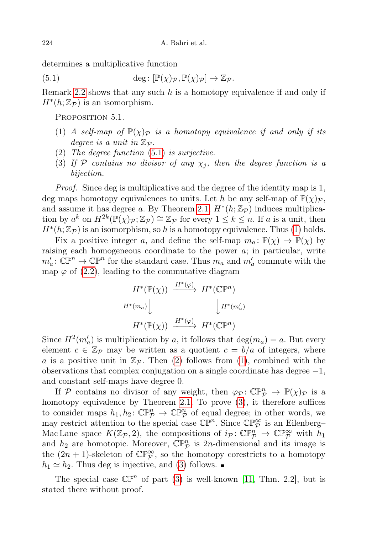determines a multiplicative function

(5.1)  $\deg: [\mathbb{P}(\chi)_{\mathcal{P}}, \mathbb{P}(\chi)_{\mathcal{P}}] \to \mathbb{Z}_{\mathcal{P}}$ .

Remark [2.2](#page-2-3) shows that any such  $h$  is a homotopy equivalence if and only if  $H^*(h;\mathbb{Z}_p)$  is an isomorphism.

<span id="page-7-4"></span><span id="page-7-0"></span>Proposition 5.1.

- <span id="page-7-1"></span>(1) A self-map of  $\mathbb{P}(\chi)_{\mathcal{P}}$  is a homotopy equivalence if and only if its degree is a unit in  $\mathbb{Z}_{\mathcal{P}}$ .
- <span id="page-7-2"></span>(2) The degree function [\(5.1\)](#page-7-0) is surjective.
- <span id="page-7-3"></span>(3) If P contains no divisor of any  $\chi_i$ , then the degree function is a bijection.

Proof. Since deg is multiplicative and the degree of the identity map is 1, deg maps homotopy equivalences to units. Let h be any self-map of  $\mathbb{P}(\chi)_{\mathcal{P}}$ , and assume it has degree a. By Theorem [2.1,](#page-2-2)  $H^*(h; \mathbb{Z}_p)$  induces multiplication by  $a^k$  on  $H^{2k}(\mathbb{P}(\chi)\mathbb{P}; \mathbb{Z}\mathbb{P}) \cong \mathbb{Z}\mathbb{P}$  for every  $1 \leq k \leq n$ . If a is a unit, then  $H^*(h;\mathbb{Z}_p)$  is an isomorphism, so h is a homotopy equivalence. Thus [\(1\)](#page-7-1) holds.

Fix a positive integer a, and define the self-map  $m_a: \mathbb{P}(\chi) \to \mathbb{P}(\chi)$  by raising each homogeneous coordinate to the power a; in particular, write  $m'_a: \mathbb{CP}^n \to \mathbb{CP}^n$  for the standard case. Thus  $m_a$  and  $m'_a$  commute with the map  $\varphi$  of [\(2.2\)](#page-2-4), leading to the commutative diagram

$$
H^*(\mathbb{P}(\chi)) \xrightarrow{H^*(\varphi)} H^*(\mathbb{C}\mathbb{P}^n)
$$
  

$$
H^*(m_a) \downarrow \qquad \qquad \downarrow H^*(m'_a)
$$
  

$$
H^*(\mathbb{P}(\chi)) \xrightarrow{H^*(\varphi)} H^*(\mathbb{C}\mathbb{P}^n)
$$

Since  $H^2(m'_a)$  is multiplication by a, it follows that  $\deg(m_a) = a$ . But every element  $c \in \mathbb{Z}_{\mathcal{P}}$  may be written as a quotient  $c = b/a$  of integers, where a is a positive unit in  $\mathbb{Z}_p$ . Then [\(2\)](#page-7-2) follows from [\(1\)](#page-7-1), combined with the observations that complex conjugation on a single coordinate has degree  $-1$ , and constant self-maps have degree 0.

If P contains no divisor of any weight, then  $\varphi_{\mathcal{P}}\colon \mathbb{CP}^n_{\mathcal{P}} \to \mathbb{P}(\chi)_{\mathcal{P}}$  is a homotopy equivalence by Theorem [2.1.](#page-2-2) To prove [\(3\)](#page-7-3), it therefore suffices to consider maps  $h_1, h_2 \colon \mathbb{CP}^n_{\mathcal{P}} \to \mathbb{CP}^n_{\mathcal{P}}$  of equal degree; in other words, we may restrict attention to the special case  $\mathbb{CP}^n$ . Since  $\mathbb{CP}^{\infty}_{\mathcal{P}}$  is an Eilenberg– Mac Lane space  $K(\mathbb{Z}_p, 2)$ , the compositions of  $i_p \colon \mathbb{CP}^n_{\mathcal{P}} \to \mathbb{CP}^\infty_{\mathcal{P}}$  with  $h_1$ and  $h_2$  are homotopic. Moreover,  $\mathbb{CP}^n_{\mathcal{P}}$  is 2n-dimensional and its image is the  $(2n + 1)$ -skeleton of  $\mathbb{CP}^{\infty}_{\mathcal{P}}$ , so the homotopy corestricts to a homotopy  $h_1 \simeq h_2$ . Thus deg is injective, and [\(3\)](#page-7-3) follows.

The special case  $\mathbb{CP}^n$  of part [\(3\)](#page-7-3) is well-known [\[11,](#page-9-7) Thm. 2.2], but is stated there without proof.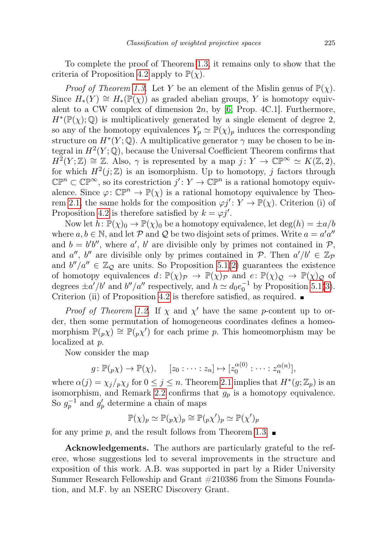To complete the proof of Theorem [1.3,](#page-2-1) it remains only to show that the criteria of Proposition [4.2](#page-6-1) apply to  $\mathbb{P}(\chi)$ .

*Proof of Theorem [1.3.](#page-2-1)* Let Y be an element of the Mislin genus of  $\mathbb{P}(\chi)$ . Since  $H_*(Y) \cong H_*(\mathbb{P}(\chi))$  as graded abelian groups, Y is homotopy equivalent to a CW complex of dimension  $2n$ , by [\[6,](#page-9-13) Prop. 4C.1]. Furthermore,  $H^*(\mathbb{P}(\chi);\mathbb{Q})$  is multiplicatively generated by a single element of degree 2, so any of the homotopy equivalences  $Y_p \simeq \mathbb{P}(\chi)_p$  induces the corresponding structure on  $H^*(Y; \mathbb{Q})$ . A multiplicative generator  $\gamma$  may be chosen to be integral in  $H^2(Y; \mathbb{Q})$ , because the Universal Coefficient Theorem confirms that  $H^2(Y;\mathbb{Z}) \cong \mathbb{Z}$ . Also,  $\gamma$  is represented by a map  $j: Y \to \mathbb{CP}^{\infty} \simeq K(\mathbb{Z}, 2)$ , for which  $H^2(j;\mathbb{Z})$  is an isomorphism. Up to homotopy, j factors through  $\mathbb{CP}^n \subset \mathbb{CP}^\infty$ , so its corestriction  $j' \colon Y \to \mathbb{CP}^n$  is a rational homotopy equivalence. Since  $\varphi: \mathbb{CP}^n \to \mathbb{P}(\chi)$  is a rational homotopy equivalence by Theo-rem [2.1,](#page-2-2) the same holds for the composition  $\varphi j' : Y \to \mathbb{P}(\chi)$ . Criterion (i) of Proposition [4.2](#page-6-1) is therefore satisfied by  $k = \varphi j'$ .

Now let  $h: \mathbb{P}(\chi)_0 \to \mathbb{P}(\chi)_0$  be a homotopy equivalence, let  $\deg(h) = \pm a/b$ where  $a, b \in \mathbb{N}$ , and let P and Q be two disjoint sets of primes. Write  $a = a'a''$ and  $b = b'b''$ , where a', b' are divisible only by primes not contained in  $P$ , and a'', b'' are divisible only by primes contained in  $P$ . Then  $a'/b' \in \mathbb{Z}_p$ and  $b''/a'' \in \mathbb{Z}_Q$  are units. So Proposition [5.1](#page-7-4)[\(2\)](#page-7-2) guarantees the existence of homotopy equivalences  $d \colon \mathbb{P}(\chi)_{\mathcal{P}} \to \mathbb{P}(\chi)_{\mathcal{P}}$  and  $e \colon \mathbb{P}(\chi)_{\mathcal{Q}} \to \mathbb{P}(\chi)_{\mathcal{Q}}$  of degrees  $\pm a'/b'$  and  $b''/a''$  respectively, and  $h \simeq d_0 e_0^{-1}$  by Proposition [5.1\(](#page-7-4)[3\)](#page-7-3). Criterion (ii) of Proposition [4.2](#page-6-1) is therefore satisfied, as required.  $\blacksquare$ 

*Proof of Theorem [1.2.](#page-1-1)* If  $\chi$  and  $\chi'$  have the same p-content up to order, then some permutation of homogeneous coordinates defines a homeomorphism  $\mathbb{P}(p\chi) \cong \mathbb{P}(p\chi')$  for each prime p. This homeomorphism may be localized at p.

Now consider the map

$$
g: \mathbb{P}(p\chi) \to \mathbb{P}(\chi), \quad [z_0: \cdots : z_n] \mapsto [z_0^{\alpha(0)}: \cdots : z_n^{\alpha(n)}],
$$

where  $\alpha(j) = \chi_j / p \chi_j$  for  $0 \leq j \leq n$ . Theorem [2.1](#page-2-2) implies that  $H^*(g; \mathbb{Z}_p)$  is an isomorphism, and Remark [2.2](#page-2-3) confirms that  $g_p$  is a homotopy equivalence. So  $g_p^{-1}$  and  $g_p'$  determine a chain of maps

$$
\mathbb{P}(\chi)_p \simeq \mathbb{P}(_p\chi)_p \cong \mathbb{P}(_p\chi')_p \simeq \mathbb{P}(\chi')_p
$$

for any prime p, and the result follows from Theorem [1.3.](#page-2-1)  $\blacksquare$ 

Acknowledgements. The authors are particularly grateful to the referee, whose suggestions led to several improvements in the structure and exposition of this work. A.B. was supported in part by a Rider University Summer Research Fellowship and Grant #210386 from the Simons Foundation, and M.F. by an NSERC Discovery Grant.